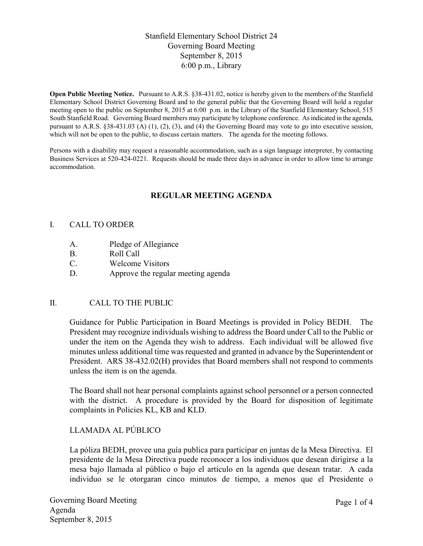### Stanfield Elementary School District 24 Governing Board Meeting September 8, 2015 6:00 p.m., Library

**Open Public Meeting Notice.** Pursuant to A.R.S. §38-431.02, notice is hereby given to the members of the Stanfield Elementary School District Governing Board and to the general public that the Governing Board will hold a regular meeting open to the public on September 8, 2015 at 6:00 p.m. in the Library of the Stanfield Elementary School, 515 South Stanfield Road. Governing Board members may participate by telephone conference. As indicated in the agenda, pursuant to A.R.S. §38-431.03 (A) (1), (2), (3), and (4) the Governing Board may vote to go into executive session, which will not be open to the public, to discuss certain matters. The agenda for the meeting follows.

Persons with a disability may request a reasonable accommodation, such as a sign language interpreter, by contacting Business Services at 520-424-0221. Requests should be made three days in advance in order to allow time to arrange accommodation.

# **REGULAR MEETING AGENDA**

#### I. CALL TO ORDER

- A. Pledge of Allegiance
- B. Roll Call
- C. Welcome Visitors
- D. Approve the regular meeting agenda

### II. CALL TO THE PUBLIC

Guidance for Public Participation in Board Meetings is provided in Policy BEDH. The President may recognize individuals wishing to address the Board under Call to the Public or under the item on the Agenda they wish to address. Each individual will be allowed five minutes unless additional time was requested and granted in advance by the Superintendent or President. ARS 38-432.02(H) provides that Board members shall not respond to comments unless the item is on the agenda.

The Board shall not hear personal complaints against school personnel or a person connected with the district. A procedure is provided by the Board for disposition of legitimate complaints in Policies KL, KB and KLD.

### LLAMADA AL PÚBLICO

La póliza BEDH, provee una guía publica para participar en juntas de la Mesa Directiva. El presidente de la Mesa Directiva puede reconocer a los individuos que desean dirigirse a la mesa bajo llamada al público o bajo el artículo en la agenda que desean tratar. A cada individuo se le otorgaran cinco minutos de tiempo, a menos que el Presidente o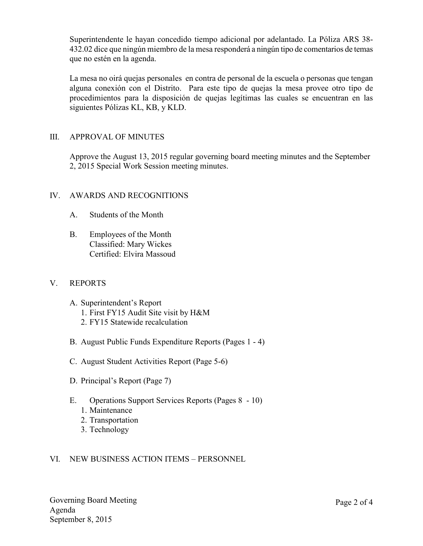Superintendente le hayan concedido tiempo adicional por adelantado. La Póliza ARS 38- 432.02 dice que ningún miembro de la mesa responderá a ningún tipo de comentarios de temas que no estén en la agenda.

La mesa no oirá quejas personales en contra de personal de la escuela o personas que tengan alguna conexión con el Distrito. Para este tipo de quejas la mesa provee otro tipo de procedimientos para la disposición de quejas legítimas las cuales se encuentran en las siguientes Pólizas KL, KB, y KLD.

### III. APPROVAL OF MINUTES

Approve the August 13, 2015 regular governing board meeting minutes and the September 2, 2015 Special Work Session meeting minutes.

# IV. AWARDS AND RECOGNITIONS

- A. Students of the Month
- B. Employees of the Month Classified: Mary Wickes Certified: Elvira Massoud

### V. REPORTS

- A. Superintendent's Report
	- 1. First FY15 Audit Site visit by H&M
	- 2. FY15 Statewide recalculation
- B. August Public Funds Expenditure Reports (Pages 1 4)
- C. August Student Activities Report (Page 5-6)
- D. Principal's Report (Page 7)
- E. Operations Support Services Reports (Pages 8 10)
	- 1. Maintenance
	- 2. Transportation
	- 3. Technology

### VI. NEW BUSINESS ACTION ITEMS – PERSONNEL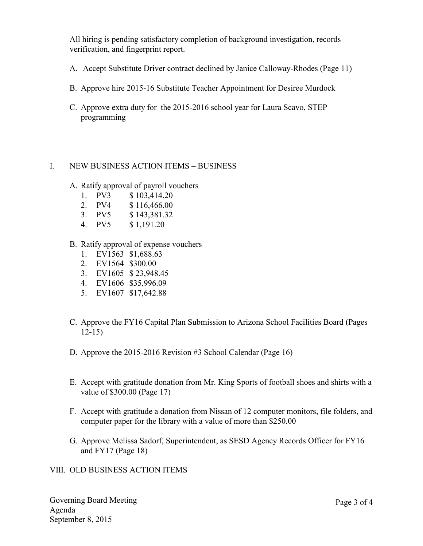All hiring is pending satisfactory completion of background investigation, records verification, and fingerprint report.

- A. Accept Substitute Driver contract declined by Janice Calloway-Rhodes (Page 11)
- B. Approve hire 2015-16 Substitute Teacher Appointment for Desiree Murdock
- C. Approve extra duty for the 2015-2016 school year for Laura Scavo, STEP programming

#### I. NEW BUSINESS ACTION ITEMS – BUSINESS

- A. Ratify approval of payroll vouchers
	- 1. PV3 \$ 103,414.20
	-
	- 2. PV4 \$ 116,466.00<br>3. PV5 \$ 143,381.32  $$143,381.32$
	- 4. PV5 \$ 1,191.20
- B. Ratify approval of expense vouchers
	- 1. EV1563 \$1,688.63
	- 2. EV1564 \$300.00
	- 3. EV1605 \$ 23,948.45
	- 4. EV1606 \$35,996.09
	- 5. EV1607 \$17,642.88
- C. Approve the FY16 Capital Plan Submission to Arizona School Facilities Board (Pages 12-15)
- D. Approve the 2015-2016 Revision #3 School Calendar (Page 16)
- E. Accept with gratitude donation from Mr. King Sports of football shoes and shirts with a value of \$300.00 (Page 17)
- F. Accept with gratitude a donation from Nissan of 12 computer monitors, file folders, and computer paper for the library with a value of more than \$250.00
- G. Approve Melissa Sadorf, Superintendent, as SESD Agency Records Officer for FY16 and FY17 (Page 18)
- VIII. OLD BUSINESS ACTION ITEMS